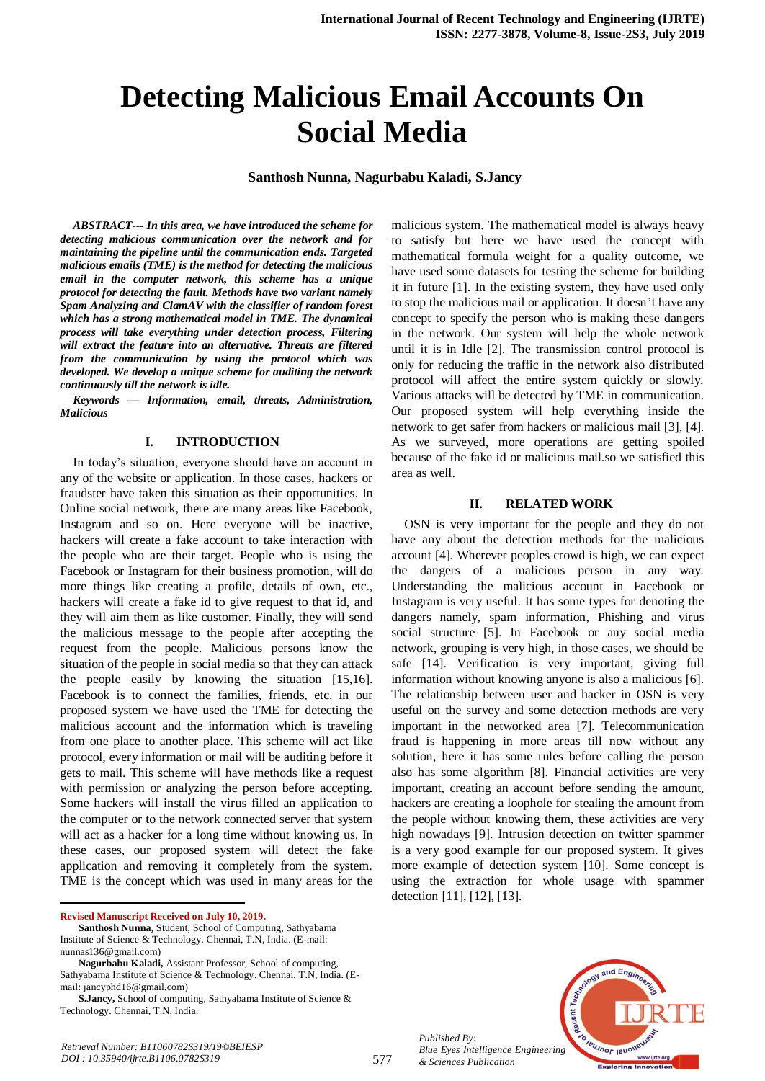# **Detecting Malicious Email Accounts On Social Media**

## **Santhosh Nunna, Nagurbabu Kaladi, S.Jancy**

*ABSTRACT--- In this area, we have introduced the scheme for detecting malicious communication over the network and for maintaining the pipeline until the communication ends. Targeted malicious emails (TME) is the method for detecting the malicious email in the computer network, this scheme has a unique protocol for detecting the fault. Methods have two variant namely Spam Analyzing and ClamAV with the classifier of random forest which has a strong mathematical model in TME. The dynamical process will take everything under detection process, Filtering will extract the feature into an alternative. Threats are filtered from the communication by using the protocol which was developed. We develop a unique scheme for auditing the network continuously till the network is idle.*

*Keywords — Information, email, threats, Administration, Malicious*

#### **I. INTRODUCTION**

In today's situation, everyone should have an account in any of the website or application. In those cases, hackers or fraudster have taken this situation as their opportunities. In Online social network, there are many areas like Facebook, Instagram and so on. Here everyone will be inactive, hackers will create a fake account to take interaction with the people who are their target. People who is using the Facebook or Instagram for their business promotion, will do more things like creating a profile, details of own, etc., hackers will create a fake id to give request to that id, and they will aim them as like customer. Finally, they will send the malicious message to the people after accepting the request from the people. Malicious persons know the situation of the people in social media so that they can attack the people easily by knowing the situation [15,16]. Facebook is to connect the families, friends, etc. in our proposed system we have used the TME for detecting the malicious account and the information which is traveling from one place to another place. This scheme will act like protocol, every information or mail will be auditing before it gets to mail. This scheme will have methods like a request with permission or analyzing the person before accepting. Some hackers will install the virus filled an application to the computer or to the network connected server that system will act as a hacker for a long time without knowing us. In these cases, our proposed system will detect the fake application and removing it completely from the system. TME is the concept which was used in many areas for the

**Revised Manuscript Received on July 10, 2019.**

1

*Retrieval Number: B11060782S319/19©BEIESP DOI : 10.35940/ijrte.B1106.0782S319*

malicious system. The mathematical model is always heavy to satisfy but here we have used the concept with mathematical formula weight for a quality outcome, we have used some datasets for testing the scheme for building it in future [1]. In the existing system, they have used only to stop the malicious mail or application. It doesn't have any concept to specify the person who is making these dangers in the network. Our system will help the whole network until it is in Idle [2]. The transmission control protocol is only for reducing the traffic in the network also distributed protocol will affect the entire system quickly or slowly. Various attacks will be detected by TME in communication. Our proposed system will help everything inside the network to get safer from hackers or malicious mail [3], [4]. As we surveyed, more operations are getting spoiled because of the fake id or malicious mail.so we satisfied this area as well.

#### **II. RELATED WORK**

OSN is very important for the people and they do not have any about the detection methods for the malicious account [4]. Wherever peoples crowd is high, we can expect the dangers of a malicious person in any way. Understanding the malicious account in Facebook or Instagram is very useful. It has some types for denoting the dangers namely, spam information, Phishing and virus social structure [5]. In Facebook or any social media network, grouping is very high, in those cases, we should be safe [14]. Verification is very important, giving full information without knowing anyone is also a malicious [6]. The relationship between user and hacker in OSN is very useful on the survey and some detection methods are very important in the networked area [7]. Telecommunication fraud is happening in more areas till now without any solution, here it has some rules before calling the person also has some algorithm [8]. Financial activities are very important, creating an account before sending the amount, hackers are creating a loophole for stealing the amount from the people without knowing them, these activities are very high nowadays [9]. Intrusion detection on twitter spammer is a very good example for our proposed system. It gives more example of detection system [10]. Some concept is using the extraction for whole usage with spammer detection [11], [12], [13].

*Published By: Blue Eyes Intelligence Engineering & Sciences Publication* 



**Santhosh Nunna,** Student, School of Computing, Sathyabama Institute of Science & Technology. Chennai, T.N, India. (E-mail: nunnas136@gmail.com)

**Nagurbabu Kaladi,** Assistant Professor, School of computing, Sathyabama Institute of Science & Technology. Chennai, T.N, India. (Email: jancyphd16@gmail.com)

**S.Jancy,** School of computing, Sathyabama Institute of Science & Technology. Chennai, T.N, India.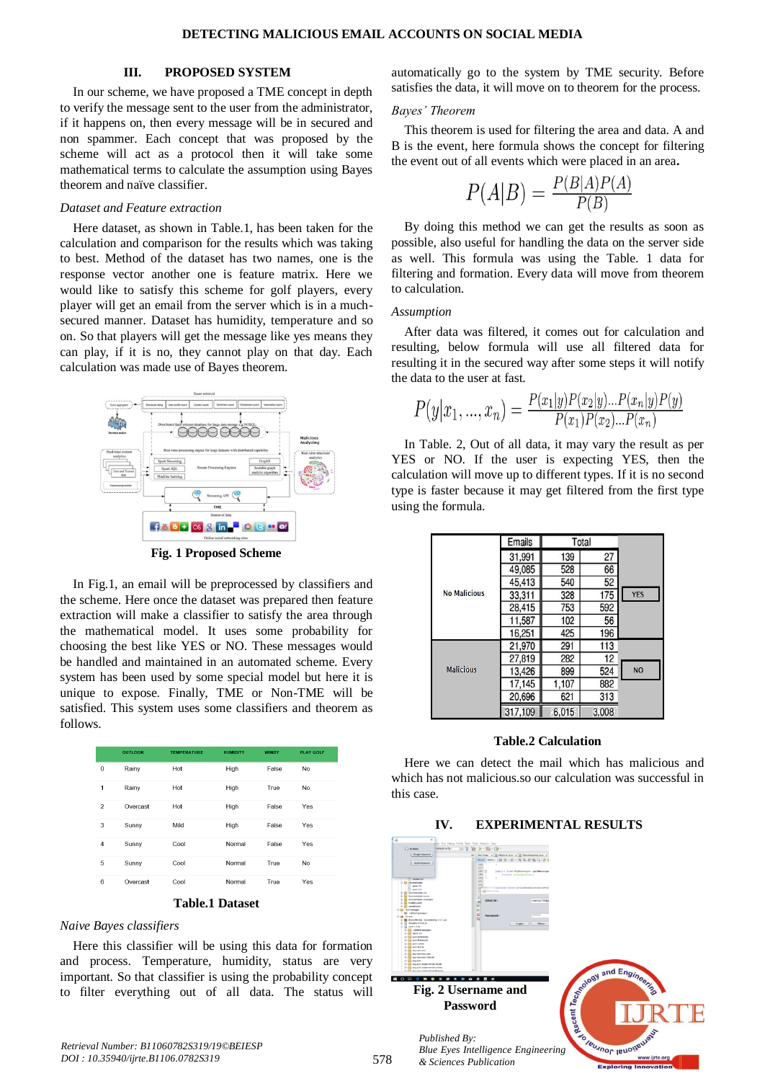## **III. PROPOSED SYSTEM**

In our scheme, we have proposed a TME concept in depth to verify the message sent to the user from the administrator, if it happens on, then every message will be in secured and non spammer. Each concept that was proposed by the scheme will act as a protocol then it will take some mathematical terms to calculate the assumption using Bayes theorem and naïve classifier.

#### *Dataset and Feature extraction*

Here dataset, as shown in Table.1, has been taken for the calculation and comparison for the results which was taking to best. Method of the dataset has two names, one is the response vector another one is feature matrix. Here we would like to satisfy this scheme for golf players, every player will get an email from the server which is in a muchsecured manner. Dataset has humidity, temperature and so on. So that players will get the message like yes means they can play, if it is no, they cannot play on that day. Each calculation was made use of Bayes theorem.



**Fig. 1 Proposed Scheme** 

In Fig.1, an email will be preprocessed by classifiers and the scheme. Here once the dataset was prepared then feature extraction will make a classifier to satisfy the area through the mathematical model. It uses some probability for choosing the best like YES or NO. These messages would be handled and maintained in an automated scheme. Every system has been used by some special model but here it is unique to expose. Finally, TME or Non-TME will be satisfied. This system uses some classifiers and theorem as follows.

|                | <b>OUTLOOK</b> | <b>TEMPERATURE</b>     | <b>HUMIDITY</b> | <b>WINDY</b> | <b>PLAY GOLF</b> |
|----------------|----------------|------------------------|-----------------|--------------|------------------|
| $\Omega$       | Rainy          | Hot                    | High            | False        | N <sub>o</sub>   |
| 1              | Rainy          | Hot                    | High            | True         | <b>No</b>        |
| $\overline{2}$ | Overcast       | Hot                    | High            | False        | Yes              |
| 3              | Sunny          | Mild                   | High            | False        | Yes              |
| $\overline{4}$ | Sunny          | Cool                   | Normal          | False        | Yes              |
| 5              | Sunny          | Cool                   | Normal          | True         | <b>No</b>        |
| 6              | Overcast       | Cool                   | Normal          | True         | Yes              |
|                |                | <b>Table.1 Dataset</b> |                 |              |                  |

#### *Naive Bayes classifiers*

Here this classifier will be using this data for formation and process. Temperature, humidity, status are very important. So that classifier is using the probability concept to filter everything out of all data. The status will automatically go to the system by TME security. Before satisfies the data, it will move on to theorem for the process.

#### *Bayes' Theorem*

This theorem is used for filtering the area and data. A and B is the event, here formula shows the concept for filtering the event out of all events which were placed in an area**.**

$$
P(A|B) = \frac{P(B|A)P(A)}{P(B)}
$$

By doing this method we can get the results as soon as possible, also useful for handling the data on the server side as well. This formula was using the Table. 1 data for filtering and formation. Every data will move from theorem to calculation.

#### *Assumption*

After data was filtered, it comes out for calculation and resulting, below formula will use all filtered data for resulting it in the secured way after some steps it will notify the data to the user at fast.

$$
P(y|x_1,...,x_n) = \frac{P(x_1|y)P(x_2|y)...P(x_n|y)P(y)}{P(x_1)P(x_2)...P(x_n)}
$$

In Table. 2, Out of all data, it may vary the result as per YES or NO. If the user is expecting YES, then the calculation will move up to different types. If it is no second type is faster because it may get filtered from the first type using the formula.

|                     | <b>Emails</b> | Total |       |            |
|---------------------|---------------|-------|-------|------------|
|                     | 31,991        | 139   | 27    |            |
|                     | 49,085        | 528   | 66    |            |
|                     | 45,413        | 540   | 52    |            |
| <b>No Malicious</b> | 33,311        | 328   | 175   | <b>YES</b> |
|                     | 28,415        | 753   | 592   |            |
|                     | 11,587        | 102   | 56    |            |
|                     | 16,251        | 425   | 196   |            |
|                     | 21,970        | 291   | 113   |            |
|                     | 27,819        | 282   | 12    |            |
| <b>Malicious</b>    | 13,426        | 899   | 524   | <b>NO</b>  |
|                     | 17,145        | 1,107 | 882   |            |
|                     | 20,696        | 621   | 313   |            |
|                     | 317,109       | 6.015 | 3,008 |            |

#### **Table.2 Calculation**

Here we can detect the mail which has malicious and which has not malicious.so our calculation was successful in this case.

#### **IV. EXPERIMENTAL RESULTS**



*Retrieval Number: B11060782S319/19©BEIESP DOI : 10.35940/ijrte.B1106.0782S319*

*& Sciences Publication*